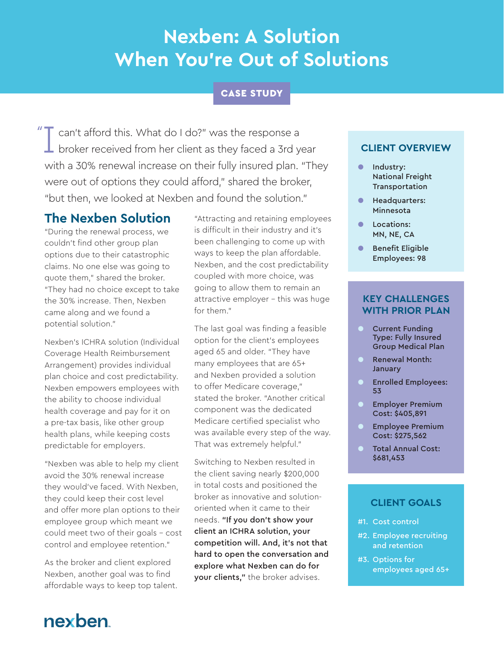# **Nexben: A Solution When You're Out of Solutions**

# CASE STUDY

I can't afford this. What do I do?" was the response a  $\perp$  broker received from her client as they faced a 3rd year with a 30% renewal increase on their fully insured plan. "They were out of options they could afford," shared the broker, "but then, we looked at Nexben and found the solution." "

## **The Nexben Solution**

"During the renewal process, we couldn't find other group plan options due to their catastrophic claims. No one else was going to quote them," shared the broker. "They had no choice except to take the 30% increase. Then, Nexben came along and we found a potential solution."

Nexben's ICHRA solution (Individual Coverage Health Reimbursement Arrangement) provides individual plan choice and cost predictability. Nexben empowers employees with the ability to choose individual health coverage and pay for it on a pre-tax basis, like other group health plans, while keeping costs predictable for employers.

"Nexben was able to help my client avoid the 30% renewal increase they would've faced. With Nexben, they could keep their cost level and offer more plan options to their employee group which meant we could meet two of their goals - cost control and employee retention."

As the broker and client explored Nexben, another goal was to find affordable ways to keep top talent.

"Attracting and retaining employees is difficult in their industry and it's been challenging to come up with ways to keep the plan affordable. Nexben, and the cost predictability coupled with more choice, was going to allow them to remain an attractive employer - this was huge for them."

The last goal was finding a feasible option for the client's employees aged 65 and older. "They have many employees that are 65+ and Nexben provided a solution to offer Medicare coverage," stated the broker. "Another critical component was the dedicated Medicare certified specialist who was available every step of the way. That was extremely helpful."

Switching to Nexben resulted in the client saving nearly \$200,000 in total costs and positioned the broker as innovative and solutionoriented when it came to their needs. "If you don't show your client an ICHRA solution, your competition will. And, it's not that hard to open the conversation and explore what Nexben can do for your clients," the broker advises.

## **CLIENT OVERVIEW**

- Industry: National Freight Transportation
- Headquarters: Minnesota
- Locations: MN, NE, CA
- Benefit Eligible Employees: 98

#### **KEY CHALLENGES WITH PRIOR PLAN**

- **O** Current Funding Type: Fully Insured Group Medical Plan
- Renewal Month: **January**
- Enrolled Employees: 53
- **Employer Premium** Cost: \$405,891
- **Employee Premium** Cost: \$275,562
- Total Annual Cost: \$681,453

### **CLIENT GOALS**

- #1. Cost control
- #2. Employee recruiting and retention
- #3. Options for employees aged 65+

# nexben